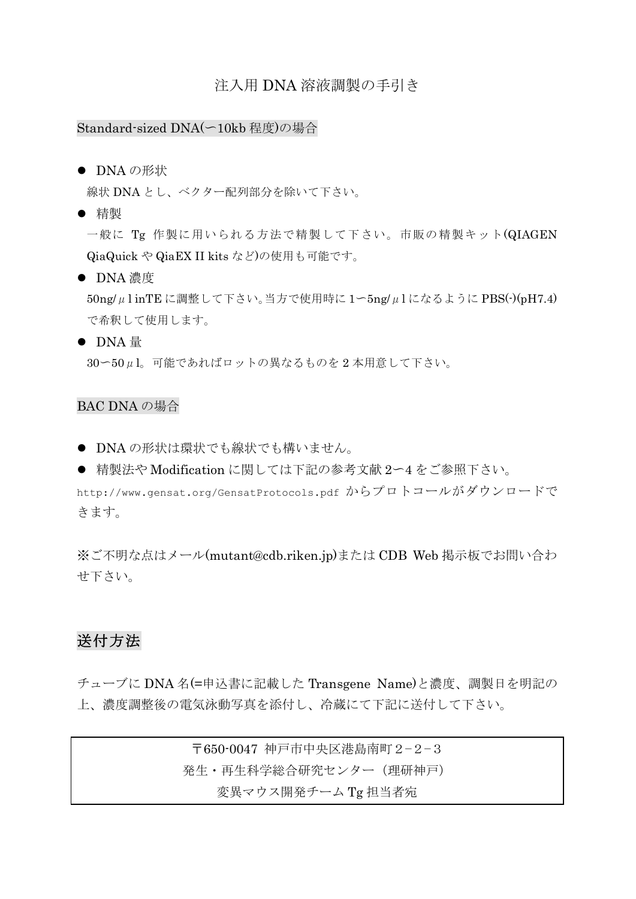### 注入用 DNA 溶液調製の手引き

#### Standard-sized DNA(~10kb 程度)の場合

#### ● DNA の形状

線状 DNA とし、ベクター配列部分を除いて下さい。

● 精製

一般に Tg 作製に用いられる方法で精製して下さい。市販の精製キット(QIAGEN QiaQuick や QiaEX II kits など)の使用も可能です。

● DNA 濃度

 $50$ ng/ $\mu$ l inTE に調整して下さい。当方で使用時に  $1$ ~5ng/ $\mu$ l になるように PBS(-)(pH7.4) で希釈して使用します。

● DNA 量

30~50μl。可能であればロットの異なるものを 2 本用意して下さい。

### BAC DNA の場合

- DNA の形状は環状でも線状でも構いません。
- 精製法や Modification に関しては下記の参考文献 2〜4をご参照下さい。

http://www.gensat.org/GensatProtocols.pdf からプロトコールがダウンロードで きます。

※ご不明な点はメール(mutant@cdb.riken.jp)または CDB Web 掲示板でお問い合わ せ下さい。

## 送付方法

チューブに DNA 名(=申込書に記載した Transgene Name)と濃度、調製日を明記の 上、濃度調整後の電気泳動写真を添付し、冷蔵にて下記に送付して下さい。

> 〒650-0047 神戸市中央区港島南町2-2-3 発生・再生科学総合研究センター(理研神戸) 変異マウス開発チーム Tg 担当者宛